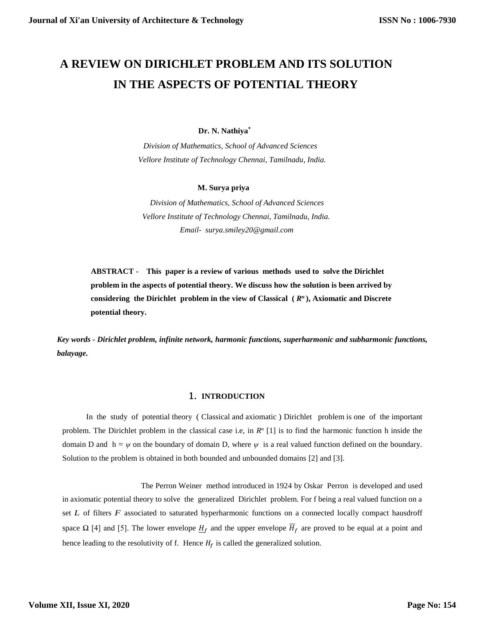# **A REVIEW ON DIRICHLET PROBLEM AND ITS SOLUTION IN THE ASPECTS OF POTENTIAL THEORY**

#### **Dr. N. Nathiya\***

 *Division of Mathematics, School of Advanced Sciences Vellore Institute of Technology Chennai, Tamilnadu, India.*

#### **M. Surya priya**

 *Division of Mathematics, School of Advanced Sciences Vellore Institute of Technology Chennai, Tamilnadu, India. Email- surya.smiley20@gmail.com*

**ABSTRACT - This paper is a review of various methods used to solve the Dirichlet problem in the aspects of potential theory. We discuss how the solution is been arrived by considering the Dirichlet problem in the view of Classical (** *R n* **), Axiomatic and Discrete potential theory.**

*Key words - Dirichlet problem, infinite network, harmonic functions, superharmonic and subharmonic functions, balayage.*

# 1. **INTRODUCTION**

 In the study of potential theory ( Classical and axiomatic ) Dirichlet problem is one of the important problem. The Dirichlet problem in the classical case i.e, in  $R^n$  [1] is to find the harmonic function h inside the domain D and  $h = \psi$  on the boundary of domain D, where  $\psi$  is a real valued function defined on the boundary. Solution to the problem is obtained in both bounded and unbounded domains [2] and [3].

 The Perron Weiner method introduced in 1924 by Oskar Perron is developed and used in axiomatic potential theory to solve the generalized Dirichlet problem. For f being a real valued function on a set *L* of filters *F* associated to saturated hyperharmonic functions on a connected locally compact hausdroff space  $\Omega$  [4] and [5]. The lower envelope  $H_f$  and the upper envelope  $\overline{H}_f$  are proved to be equal at a point and hence leading to the resolutivity of f. Hence  $H_f$  is called the generalized solution.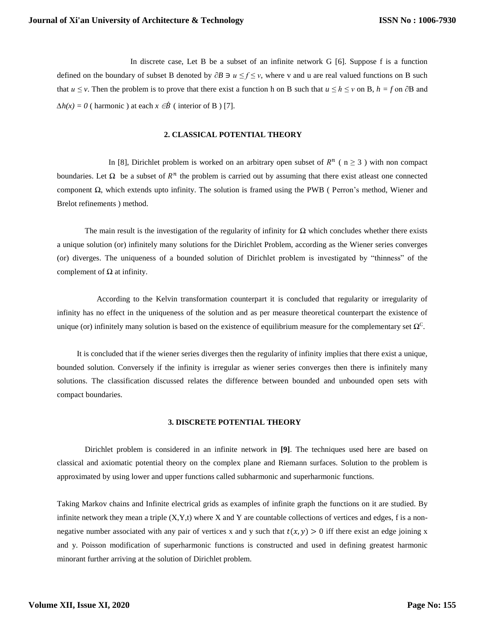In discrete case, Let B be a subset of an infinite network G [6]. Suppose f is a function defined on the boundary of subset B denoted by ∂*B* ∋ *u ≤ f ≤ v*, where v and u are real valued functions on B such that *u*  $\leq$  *v*. Then the problem is to prove that there exist a function h on B such that *u*  $\leq$  *h*  $\leq$  *v* on B, *h* = *f* on  $\partial$ B and  $\Delta h(x) = 0$  ( harmonic ) at each  $x \in \dot{B}$  ( interior of B ) [7].

### **2. CLASSICAL POTENTIAL THEORY**

In [8], Dirichlet problem is worked on an arbitrary open subset of  $R^n$  ( $n \geq 3$ ) with non compact boundaries. Let  $\Omega$  be a subset of  $R^n$  the problem is carried out by assuming that there exist atleast one connected component Ω, which extends upto infinity. The solution is framed using the PWB ( Perron's method, Wiener and Brelot refinements ) method.

The main result is the investigation of the regularity of infinity for  $\Omega$  which concludes whether there exists a unique solution (or) infinitely many solutions for the Dirichlet Problem, according as the Wiener series converges (or) diverges. The uniqueness of a bounded solution of Dirichlet problem is investigated by "thinness" of the complement of  $Ω$  at infinity.

 According to the Kelvin transformation counterpart it is concluded that regularity or irregularity of infinity has no effect in the uniqueness of the solution and as per measure theoretical counterpart the existence of unique (or) infinitely many solution is based on the existence of equilibrium measure for the complementary set  $\Omega^C$ .

 It is concluded that if the wiener series diverges then the regularity of infinity implies that there exist a unique, bounded solution. Conversely if the infinity is irregular as wiener series converges then there is infinitely many solutions. The classification discussed relates the difference between bounded and unbounded open sets with compact boundaries.

#### **3. DISCRETE POTENTIAL THEORY**

 Dirichlet problem is considered in an infinite network in **[9]**. The techniques used here are based on classical and axiomatic potential theory on the complex plane and Riemann surfaces. Solution to the problem is approximated by using lower and upper functions called subharmonic and superharmonic functions.

Taking Markov chains and Infinite electrical grids as examples of infinite graph the functions on it are studied. By infinite network they mean a triple  $(X, Y, t)$  where X and Y are countable collections of vertices and edges, f is a nonnegative number associated with any pair of vertices x and y such that  $t(x, y) > 0$  iff there exist an edge joining x and y. Poisson modification of superharmonic functions is constructed and used in defining greatest harmonic minorant further arriving at the solution of Dirichlet problem.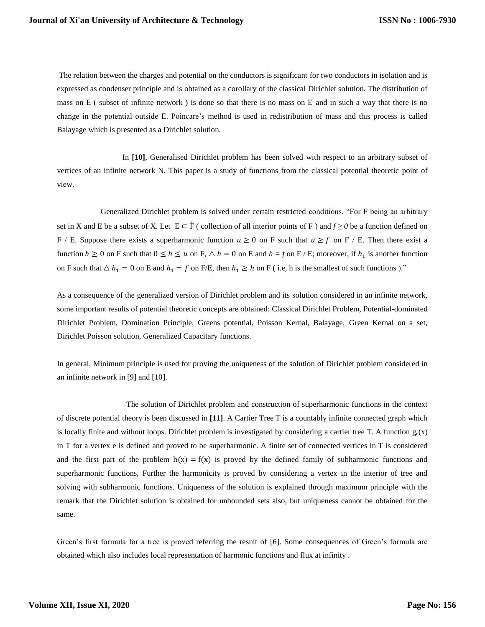The relation between the charges and potential on the conductors is significant for two conductors in isolation and is expressed as condenser principle and is obtained as a corollary of the classical Dirichlet solution. The distribution of mass on E ( subset of infinite network ) is done so that there is no mass on E and in such a way that there is no change in the potential outside E. Poincare's method is used in redistribution of mass and this process is called Balayage which is presented as a Dirichlet solution.

 In **[10]**, Generalised Dirichlet problem has been solved with respect to an arbitrary subset of vertices of an infinite network N. This paper is a study of functions from the classical potential theoretic point of view.

 Generalized Dirichlet problem is solved under certain restricted conditions. "For F being an arbitrary set in X and E be a subset of X. Let  $E \subset \dot{F}$  ( collection of all interior points of F ) and  $f \ge 0$  be a function defined on F / E. Suppose there exists a superharmonic function  $u \ge 0$  on F such that  $u \ge f$  on F / E. Then there exist a function  $h \ge 0$  on F such that  $0 \le h \le u$  on F,  $\triangle h = 0$  on E and  $h = f$  on F / E; moreover, if  $h_1$  is another function on F such that  $\Delta h_1 = 0$  on E and  $h_1 = f$  on F/E, then  $h_1 \ge h$  on F (i.e, h is the smallest of such functions )."

As a consequence of the generalized version of Dirichlet problem and its solution considered in an infinite network, some important results of potential theoretic concepts are obtained: Classical Dirichlet Problem, Potential-dominated Dirichlet Problem, Domination Principle, Greens potential, Poisson Kernal, Balayage, Green Kernal on a set, Dirichlet Poisson solution, Generalized Capacitary functions.

In general, Minimum principle is used for proving the uniqueness of the solution of Dirichlet problem considered in an infinite network in [9] and [10].

 The solution of Dirichlet problem and construction of superharmonic functions in the context of discrete potential theory is been discussed in **[11]**. A Cartier Tree T is a countably infinite connected graph which is locally finite and without loops. Dirichlet problem is investigated by considering a cartier tree T. A function  $g_e(x)$ in T for a vertex e is defined and proved to be superharmonic. A finite set of connected vertices in T is considered and the first part of the problem  $h(x) = f(x)$  is proved by the defined family of subharmonic functions and superharmonic functions, Further the harmonicity is proved by considering a vertex in the interior of tree and solving with subharmonic functions. Uniqueness of the solution is explained through maximum principle with the remark that the Dirichlet solution is obtained for unbounded sets also, but uniqueness cannot be obtained for the same.

Green's first formula for a tree is proved referring the result of [6]. Some consequences of Green's formula are obtained which also includes local representation of harmonic functions and flux at infinity .